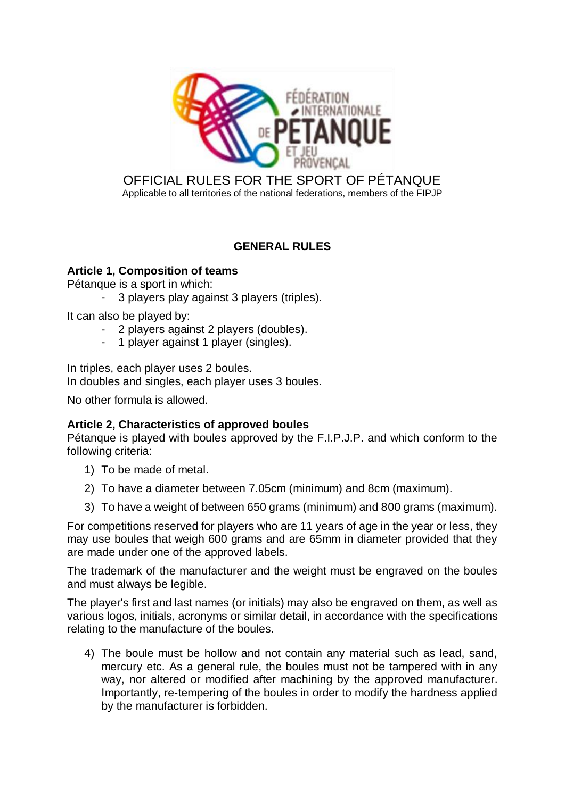

## OFFICIAL RULES FOR THE SPORT OF PÉTANQUE Applicable to all territories of the national federations, members of the FIPJP

# **GENERAL RULES**

## **Article 1, Composition of teams**

Pétanque is a sport in which:

3 players play against 3 players (triples).

It can also be played by:

- 2 players against 2 players (doubles).
- 1 player against 1 player (singles).

In triples, each player uses 2 boules.

In doubles and singles, each player uses 3 boules.

No other formula is allowed.

## **Article 2, Characteristics of approved boules**

Pétanque is played with boules approved by the F.I.P.J.P. and which conform to the following criteria:

- 1) To be made of metal.
- 2) To have a diameter between 7.05cm (minimum) and 8cm (maximum).
- 3) To have a weight of between 650 grams (minimum) and 800 grams (maximum).

For competitions reserved for players who are 11 years of age in the year or less, they may use boules that weigh 600 grams and are 65mm in diameter provided that they are made under one of the approved labels.

The trademark of the manufacturer and the weight must be engraved on the boules and must always be legible.

The player's first and last names (or initials) may also be engraved on them, as well as various logos, initials, acronyms or similar detail, in accordance with the specifications relating to the manufacture of the boules.

4) The boule must be hollow and not contain any material such as lead, sand, mercury etc. As a general rule, the boules must not be tampered with in any way, nor altered or modified after machining by the approved manufacturer. Importantly, re-tempering of the boules in order to modify the hardness applied by the manufacturer is forbidden.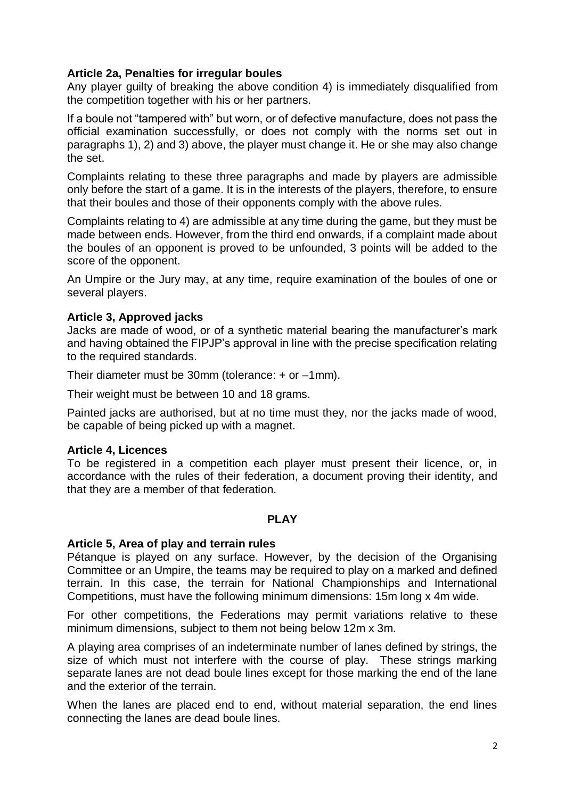### **Article 2a, Penalties for irregular boules**

Any player guilty of breaking the above condition 4) is immediately disqualified from the competition together with his or her partners.

If a boule not "tampered with" but worn, or of defective manufacture, does not pass the official examination successfully, or does not comply with the norms set out in paragraphs 1), 2) and 3) above, the player must change it. He or she may also change the set.

Complaints relating to these three paragraphs and made by players are admissible only before the start of a game. It is in the interests of the players, therefore, to ensure that their boules and those of their opponents comply with the above rules.

Complaints relating to 4) are admissible at any time during the game, but they must be made between ends. However, from the third end onwards, if a complaint made about the boules of an opponent is proved to be unfounded, 3 points will be added to the score of the opponent.

An Umpire or the Jury may, at any time, require examination of the boules of one or several players.

### **Article 3, Approved jacks**

Jacks are made of wood, or of a synthetic material bearing the manufacturer's mark and having obtained the FIPJP's approval in line with the precise specification relating to the required standards.

Their diameter must be 30mm (tolerance:  $+$  or  $-1$ mm).

Their weight must be between 10 and 18 grams.

Painted jacks are authorised, but at no time must they, nor the jacks made of wood, be capable of being picked up with a magnet.

### **Article 4, Licences**

To be registered in a competition each player must present their licence, or, in accordance with the rules of their federation, a document proving their identity, and that they are a member of that federation.

### **PLAY**

### **Article 5, Area of play and terrain rules**

Pétanque is played on any surface. However, by the decision of the Organising Committee or an Umpire, the teams may be required to play on a marked and defined terrain. In this case, the terrain for National Championships and International Competitions, must have the following minimum dimensions: 15m long x 4m wide.

For other competitions, the Federations may permit variations relative to these minimum dimensions, subject to them not being below 12m x 3m.

A playing area comprises of an indeterminate number of lanes defined by strings, the size of which must not interfere with the course of play. These strings marking separate lanes are not dead boule lines except for those marking the end of the lane and the exterior of the terrain.

When the lanes are placed end to end, without material separation, the end lines connecting the lanes are dead boule lines.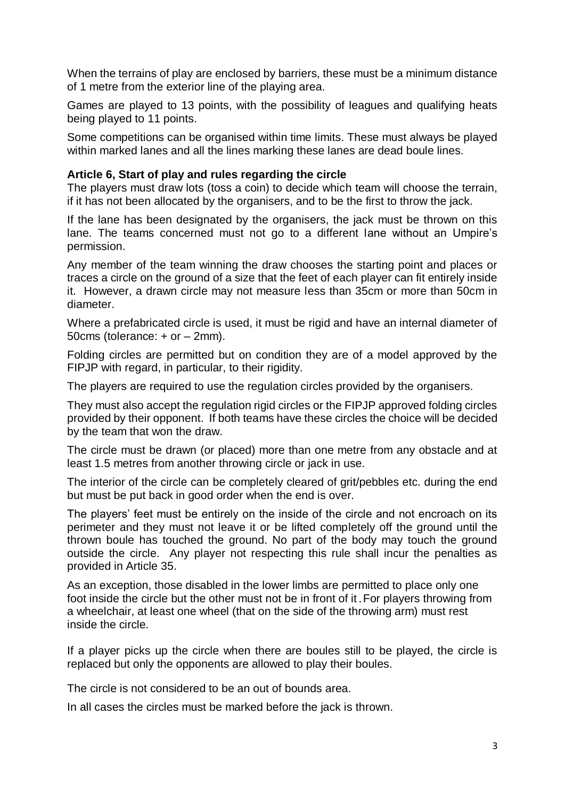When the terrains of play are enclosed by barriers, these must be a minimum distance of 1 metre from the exterior line of the playing area.

Games are played to 13 points, with the possibility of leagues and qualifying heats being played to 11 points.

Some competitions can be organised within time limits. These must always be played within marked lanes and all the lines marking these lanes are dead boule lines.

### **Article 6, Start of play and rules regarding the circle**

The players must draw lots (toss a coin) to decide which team will choose the terrain, if it has not been allocated by the organisers, and to be the first to throw the jack.

If the lane has been designated by the organisers, the jack must be thrown on this lane. The teams concerned must not go to a different lane without an Umpire's permission.

Any member of the team winning the draw chooses the starting point and places or traces a circle on the ground of a size that the feet of each player can fit entirely inside it. However, a drawn circle may not measure less than 35cm or more than 50cm in diameter.

Where a prefabricated circle is used, it must be rigid and have an internal diameter of 50cms (tolerance: + or – 2mm).

Folding circles are permitted but on condition they are of a model approved by the FIPJP with regard, in particular, to their rigidity.

The players are required to use the regulation circles provided by the organisers.

They must also accept the regulation rigid circles or the FIPJP approved folding circles provided by their opponent. If both teams have these circles the choice will be decided by the team that won the draw.

The circle must be drawn (or placed) more than one metre from any obstacle and at least 1.5 metres from another throwing circle or jack in use.

The interior of the circle can be completely cleared of grit/pebbles etc. during the end but must be put back in good order when the end is over.

The players' feet must be entirely on the inside of the circle and not encroach on its perimeter and they must not leave it or be lifted completely off the ground until the thrown boule has touched the ground. No part of the body may touch the ground outside the circle. Any player not respecting this rule shall incur the penalties as provided in Article 35.

As an exception, those disabled in the lower limbs are permitted to place only one foot inside the circle but the other must not be in front of it.For players throwing from a wheelchair, at least one wheel (that on the side of the throwing arm) must rest inside the circle.

If a player picks up the circle when there are boules still to be played, the circle is replaced but only the opponents are allowed to play their boules.

The circle is not considered to be an out of bounds area.

In all cases the circles must be marked before the jack is thrown.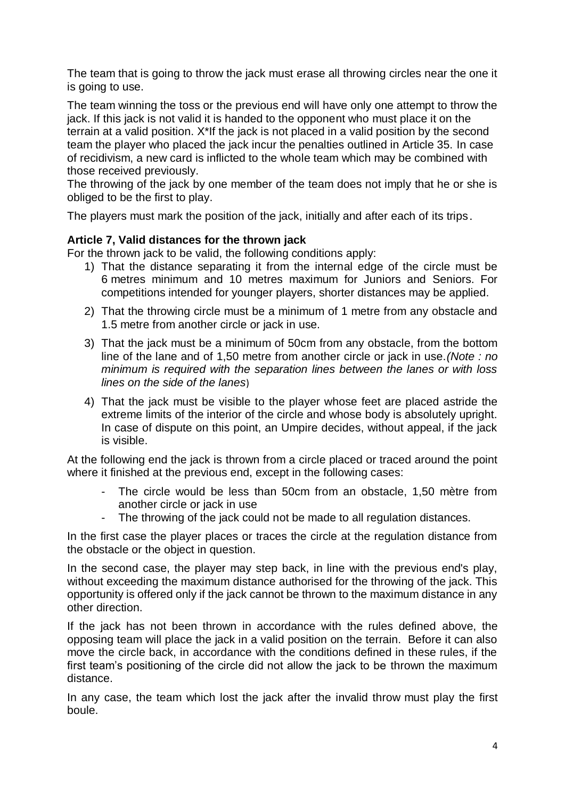The team that is going to throw the jack must erase all throwing circles near the one it is going to use.

The team winning the toss or the previous end will have only one attempt to throw the jack. If this jack is not valid it is handed to the opponent who must place it on the terrain at a valid position. X\*If the jack is not placed in a valid position by the second team the player who placed the jack incur the penalties outlined in Article 35. In case of recidivism, a new card is inflicted to the whole team which may be combined with those received previously.

The throwing of the jack by one member of the team does not imply that he or she is obliged to be the first to play.

The players must mark the position of the jack, initially and after each of its trips.

### **Article 7, Valid distances for the thrown jack**

For the thrown jack to be valid, the following conditions apply:

- 1) That the distance separating it from the internal edge of the circle must be 6 metres minimum and 10 metres maximum for Juniors and Seniors. For competitions intended for younger players, shorter distances may be applied.
- 2) That the throwing circle must be a minimum of 1 metre from any obstacle and 1.5 metre from another circle or jack in use.
- 3) That the jack must be a minimum of 50cm from any obstacle, from the bottom line of the lane and of 1,50 metre from another circle or jack in use.*(Note : no minimum is required with the separation lines between the lanes or with loss lines on the side of the lanes*)
- 4) That the jack must be visible to the player whose feet are placed astride the extreme limits of the interior of the circle and whose body is absolutely upright. In case of dispute on this point, an Umpire decides, without appeal, if the jack is visible.

At the following end the jack is thrown from a circle placed or traced around the point where it finished at the previous end, except in the following cases:

- The circle would be less than 50cm from an obstacle, 1,50 mètre from another circle or jack in use
- The throwing of the jack could not be made to all regulation distances.

In the first case the player places or traces the circle at the regulation distance from the obstacle or the object in question.

In the second case, the player may step back, in line with the previous end's play, without exceeding the maximum distance authorised for the throwing of the jack. This opportunity is offered only if the jack cannot be thrown to the maximum distance in any other direction.

If the jack has not been thrown in accordance with the rules defined above, the opposing team will place the jack in a valid position on the terrain. Before it can also move the circle back, in accordance with the conditions defined in these rules, if the first team's positioning of the circle did not allow the jack to be thrown the maximum distance.

In any case, the team which lost the jack after the invalid throw must play the first boule.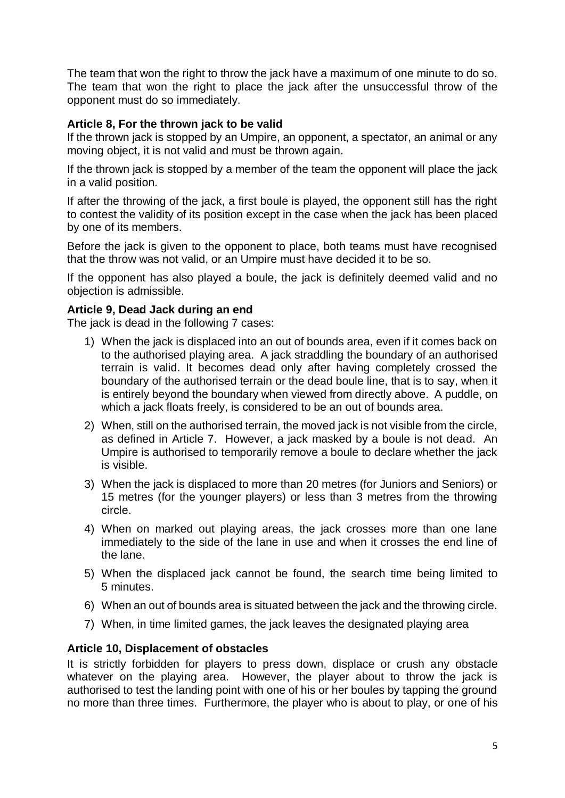The team that won the right to throw the jack have a maximum of one minute to do so. The team that won the right to place the jack after the unsuccessful throw of the opponent must do so immediately.

### **Article 8, For the thrown jack to be valid**

If the thrown jack is stopped by an Umpire, an opponent, a spectator, an animal or any moving object, it is not valid and must be thrown again.

If the thrown jack is stopped by a member of the team the opponent will place the jack in a valid position.

If after the throwing of the jack, a first boule is played, the opponent still has the right to contest the validity of its position except in the case when the jack has been placed by one of its members.

Before the jack is given to the opponent to place, both teams must have recognised that the throw was not valid, or an Umpire must have decided it to be so.

If the opponent has also played a boule, the jack is definitely deemed valid and no objection is admissible.

### **Article 9, Dead Jack during an end**

The jack is dead in the following 7 cases:

- 1) When the jack is displaced into an out of bounds area, even if it comes back on to the authorised playing area. A jack straddling the boundary of an authorised terrain is valid. It becomes dead only after having completely crossed the boundary of the authorised terrain or the dead boule line, that is to say, when it is entirely beyond the boundary when viewed from directly above. A puddle, on which a jack floats freely, is considered to be an out of bounds area.
- 2) When, still on the authorised terrain, the moved jack is not visible from the circle, as defined in Article 7. However, a jack masked by a boule is not dead. An Umpire is authorised to temporarily remove a boule to declare whether the jack is visible.
- 3) When the jack is displaced to more than 20 metres (for Juniors and Seniors) or 15 metres (for the younger players) or less than 3 metres from the throwing circle.
- 4) When on marked out playing areas, the jack crosses more than one lane immediately to the side of the lane in use and when it crosses the end line of the lane.
- 5) When the displaced jack cannot be found, the search time being limited to 5 minutes.
- 6) When an out of bounds area is situated between the jack and the throwing circle.
- 7) When, in time limited games, the jack leaves the designated playing area

### **Article 10, Displacement of obstacles**

It is strictly forbidden for players to press down, displace or crush any obstacle whatever on the playing area. However, the player about to throw the jack is authorised to test the landing point with one of his or her boules by tapping the ground no more than three times. Furthermore, the player who is about to play, or one of his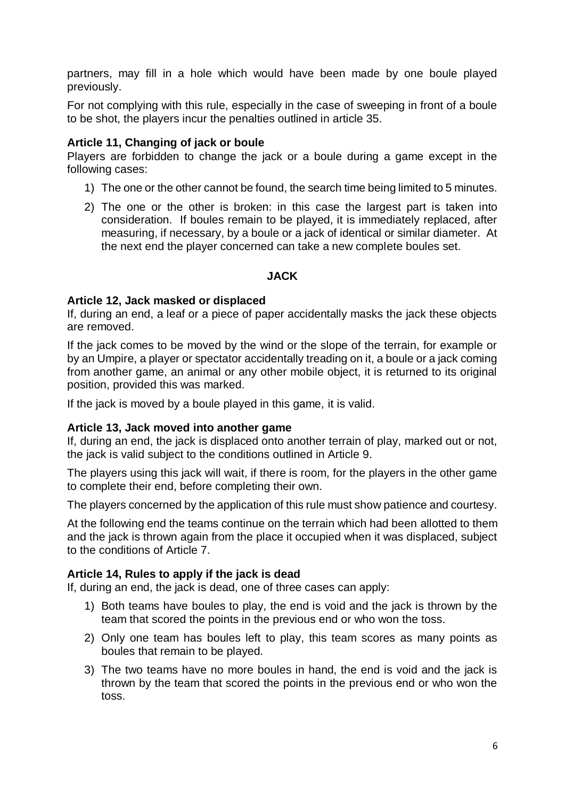partners, may fill in a hole which would have been made by one boule played previously.

For not complying with this rule, especially in the case of sweeping in front of a boule to be shot, the players incur the penalties outlined in article 35.

### **Article 11, Changing of jack or boule**

Players are forbidden to change the jack or a boule during a game except in the following cases:

- 1) The one or the other cannot be found, the search time being limited to 5 minutes.
- 2) The one or the other is broken: in this case the largest part is taken into consideration. If boules remain to be played, it is immediately replaced, after measuring, if necessary, by a boule or a jack of identical or similar diameter. At the next end the player concerned can take a new complete boules set.

### **JACK**

### **Article 12, Jack masked or displaced**

If, during an end, a leaf or a piece of paper accidentally masks the jack these objects are removed.

If the jack comes to be moved by the wind or the slope of the terrain, for example or by an Umpire, a player or spectator accidentally treading on it, a boule or a jack coming from another game, an animal or any other mobile object, it is returned to its original position, provided this was marked.

If the jack is moved by a boule played in this game, it is valid.

### **Article 13, Jack moved into another game**

If, during an end, the jack is displaced onto another terrain of play, marked out or not, the jack is valid subject to the conditions outlined in Article 9.

The players using this jack will wait, if there is room, for the players in the other game to complete their end, before completing their own.

The players concerned by the application of this rule must show patience and courtesy.

At the following end the teams continue on the terrain which had been allotted to them and the jack is thrown again from the place it occupied when it was displaced, subject to the conditions of Article 7.

### **Article 14, Rules to apply if the jack is dead**

If, during an end, the jack is dead, one of three cases can apply:

- 1) Both teams have boules to play, the end is void and the jack is thrown by the team that scored the points in the previous end or who won the toss.
- 2) Only one team has boules left to play, this team scores as many points as boules that remain to be played.
- 3) The two teams have no more boules in hand, the end is void and the jack is thrown by the team that scored the points in the previous end or who won the toss.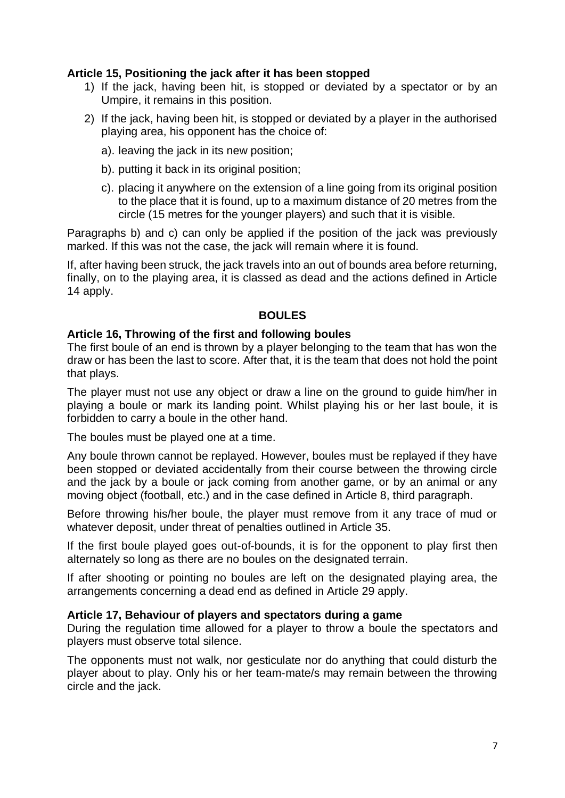### **Article 15, Positioning the jack after it has been stopped**

- 1) If the jack, having been hit, is stopped or deviated by a spectator or by an Umpire, it remains in this position.
- 2) If the jack, having been hit, is stopped or deviated by a player in the authorised playing area, his opponent has the choice of:
	- a). leaving the jack in its new position;
	- b). putting it back in its original position;
	- c). placing it anywhere on the extension of a line going from its original position to the place that it is found, up to a maximum distance of 20 metres from the circle (15 metres for the younger players) and such that it is visible.

Paragraphs b) and c) can only be applied if the position of the jack was previously marked. If this was not the case, the jack will remain where it is found.

If, after having been struck, the jack travels into an out of bounds area before returning, finally, on to the playing area, it is classed as dead and the actions defined in Article 14 apply.

#### **BOULES**

### **Article 16, Throwing of the first and following boules**

The first boule of an end is thrown by a player belonging to the team that has won the draw or has been the last to score. After that, it is the team that does not hold the point that plays.

The player must not use any object or draw a line on the ground to guide him/her in playing a boule or mark its landing point. Whilst playing his or her last boule, it is forbidden to carry a boule in the other hand.

The boules must be played one at a time.

Any boule thrown cannot be replayed. However, boules must be replayed if they have been stopped or deviated accidentally from their course between the throwing circle and the jack by a boule or jack coming from another game, or by an animal or any moving object (football, etc.) and in the case defined in Article 8, third paragraph.

Before throwing his/her boule, the player must remove from it any trace of mud or whatever deposit, under threat of penalties outlined in Article 35.

If the first boule played goes out-of-bounds, it is for the opponent to play first then alternately so long as there are no boules on the designated terrain.

If after shooting or pointing no boules are left on the designated playing area, the arrangements concerning a dead end as defined in Article 29 apply.

### **Article 17, Behaviour of players and spectators during a game**

During the regulation time allowed for a player to throw a boule the spectators and players must observe total silence.

The opponents must not walk, nor gesticulate nor do anything that could disturb the player about to play. Only his or her team-mate/s may remain between the throwing circle and the jack.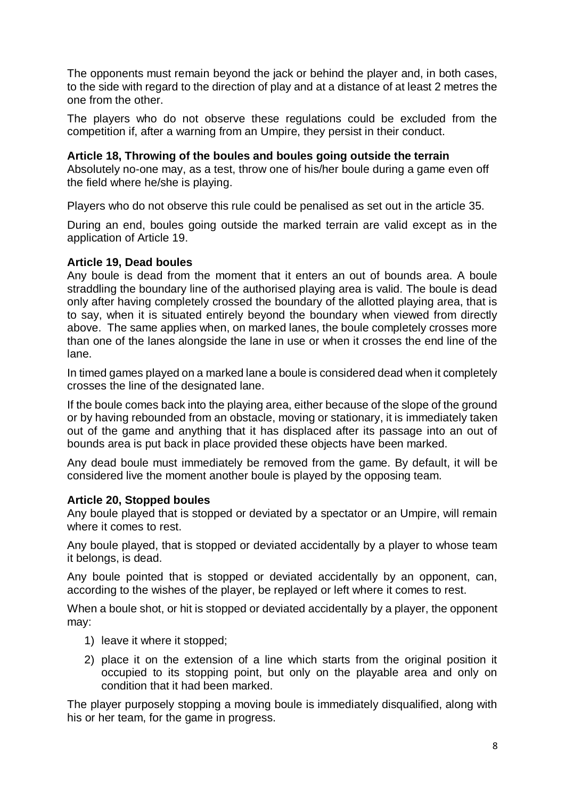The opponents must remain beyond the jack or behind the player and, in both cases, to the side with regard to the direction of play and at a distance of at least 2 metres the one from the other.

The players who do not observe these regulations could be excluded from the competition if, after a warning from an Umpire, they persist in their conduct.

### **Article 18, Throwing of the boules and boules going outside the terrain**

Absolutely no-one may, as a test, throw one of his/her boule during a game even off the field where he/she is playing.

Players who do not observe this rule could be penalised as set out in the article 35.

During an end, boules going outside the marked terrain are valid except as in the application of Article 19.

### **Article 19, Dead boules**

Any boule is dead from the moment that it enters an out of bounds area. A boule straddling the boundary line of the authorised playing area is valid. The boule is dead only after having completely crossed the boundary of the allotted playing area, that is to say, when it is situated entirely beyond the boundary when viewed from directly above. The same applies when, on marked lanes, the boule completely crosses more than one of the lanes alongside the lane in use or when it crosses the end line of the lane.

In timed games played on a marked lane a boule is considered dead when it completely crosses the line of the designated lane.

If the boule comes back into the playing area, either because of the slope of the ground or by having rebounded from an obstacle, moving or stationary, it is immediately taken out of the game and anything that it has displaced after its passage into an out of bounds area is put back in place provided these objects have been marked.

Any dead boule must immediately be removed from the game. By default, it will be considered live the moment another boule is played by the opposing team.

### **Article 20, Stopped boules**

Any boule played that is stopped or deviated by a spectator or an Umpire, will remain where it comes to rest.

Any boule played, that is stopped or deviated accidentally by a player to whose team it belongs, is dead.

Any boule pointed that is stopped or deviated accidentally by an opponent, can, according to the wishes of the player, be replayed or left where it comes to rest.

When a boule shot, or hit is stopped or deviated accidentally by a player, the opponent may:

- 1) leave it where it stopped;
- 2) place it on the extension of a line which starts from the original position it occupied to its stopping point, but only on the playable area and only on condition that it had been marked.

The player purposely stopping a moving boule is immediately disqualified, along with his or her team, for the game in progress.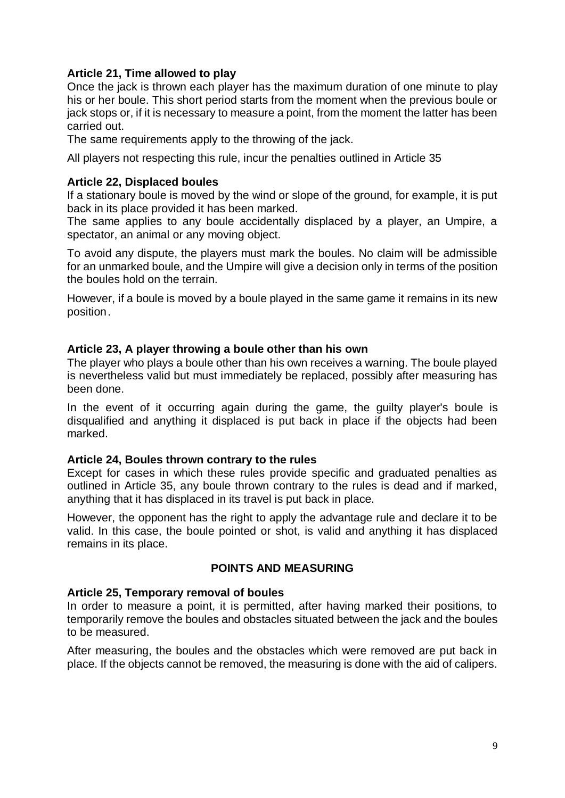### **Article 21, Time allowed to play**

Once the jack is thrown each player has the maximum duration of one minute to play his or her boule. This short period starts from the moment when the previous boule or jack stops or, if it is necessary to measure a point, from the moment the latter has been carried out.

The same requirements apply to the throwing of the jack.

All players not respecting this rule, incur the penalties outlined in Article 35

### **Article 22, Displaced boules**

If a stationary boule is moved by the wind or slope of the ground, for example, it is put back in its place provided it has been marked.

The same applies to any boule accidentally displaced by a player, an Umpire, a spectator, an animal or any moving object.

To avoid any dispute, the players must mark the boules. No claim will be admissible for an unmarked boule, and the Umpire will give a decision only in terms of the position the boules hold on the terrain.

However, if a boule is moved by a boule played in the same game it remains in its new position.

### **Article 23, A player throwing a boule other than his own**

The player who plays a boule other than his own receives a warning. The boule played is nevertheless valid but must immediately be replaced, possibly after measuring has been done.

In the event of it occurring again during the game, the guilty player's boule is disqualified and anything it displaced is put back in place if the objects had been marked.

### **Article 24, Boules thrown contrary to the rules**

Except for cases in which these rules provide specific and graduated penalties as outlined in Article 35, any boule thrown contrary to the rules is dead and if marked, anything that it has displaced in its travel is put back in place.

However, the opponent has the right to apply the advantage rule and declare it to be valid. In this case, the boule pointed or shot, is valid and anything it has displaced remains in its place.

### **POINTS AND MEASURING**

### **Article 25, Temporary removal of boules**

In order to measure a point, it is permitted, after having marked their positions, to temporarily remove the boules and obstacles situated between the jack and the boules to be measured.

After measuring, the boules and the obstacles which were removed are put back in place. If the objects cannot be removed, the measuring is done with the aid of calipers.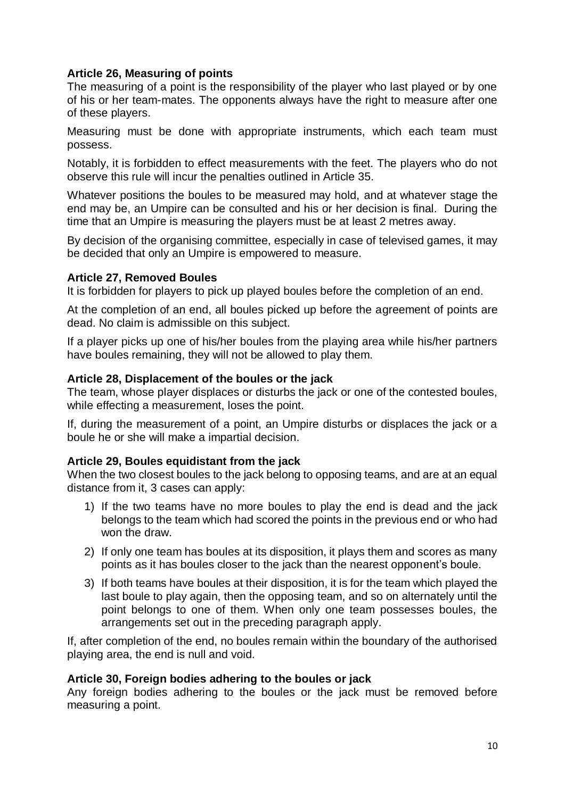## **Article 26, Measuring of points**

The measuring of a point is the responsibility of the player who last played or by one of his or her team-mates. The opponents always have the right to measure after one of these players.

Measuring must be done with appropriate instruments, which each team must possess.

Notably, it is forbidden to effect measurements with the feet. The players who do not observe this rule will incur the penalties outlined in Article 35.

Whatever positions the boules to be measured may hold, and at whatever stage the end may be, an Umpire can be consulted and his or her decision is final. During the time that an Umpire is measuring the players must be at least 2 metres away.

By decision of the organising committee, especially in case of televised games, it may be decided that only an Umpire is empowered to measure.

### **Article 27, Removed Boules**

It is forbidden for players to pick up played boules before the completion of an end.

At the completion of an end, all boules picked up before the agreement of points are dead. No claim is admissible on this subject.

If a player picks up one of his/her boules from the playing area while his/her partners have boules remaining, they will not be allowed to play them.

### **Article 28, Displacement of the boules or the jack**

The team, whose player displaces or disturbs the jack or one of the contested boules, while effecting a measurement, loses the point.

If, during the measurement of a point, an Umpire disturbs or displaces the jack or a boule he or she will make a impartial decision.

### **Article 29, Boules equidistant from the jack**

When the two closest boules to the jack belong to opposing teams, and are at an equal distance from it, 3 cases can apply:

- 1) If the two teams have no more boules to play the end is dead and the jack belongs to the team which had scored the points in the previous end or who had won the draw.
- 2) If only one team has boules at its disposition, it plays them and scores as many points as it has boules closer to the jack than the nearest opponent's boule.
- 3) If both teams have boules at their disposition, it is for the team which played the last boule to play again, then the opposing team, and so on alternately until the point belongs to one of them. When only one team possesses boules, the arrangements set out in the preceding paragraph apply.

If, after completion of the end, no boules remain within the boundary of the authorised playing area, the end is null and void.

### **Article 30, Foreign bodies adhering to the boules or jack**

Any foreign bodies adhering to the boules or the jack must be removed before measuring a point.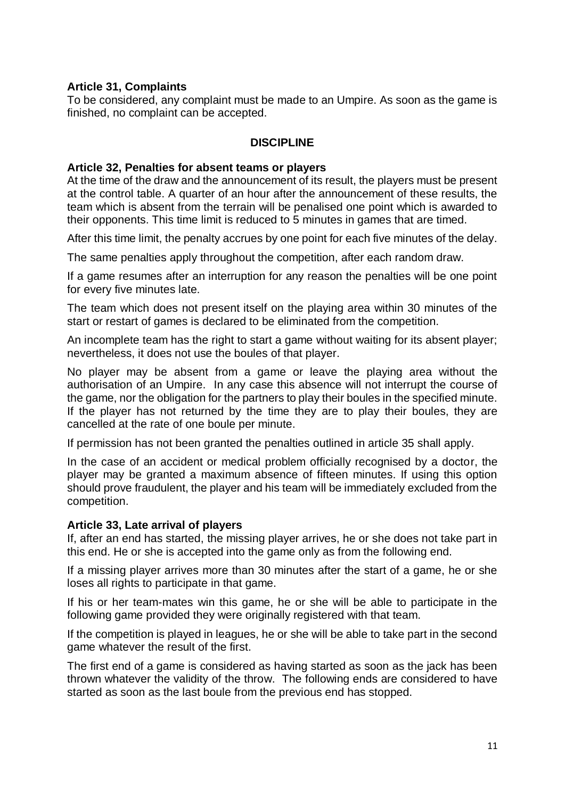### **Article 31, Complaints**

To be considered, any complaint must be made to an Umpire. As soon as the game is finished, no complaint can be accepted.

### **DISCIPLINE**

#### **Article 32, Penalties for absent teams or players**

At the time of the draw and the announcement of its result, the players must be present at the control table. A quarter of an hour after the announcement of these results, the team which is absent from the terrain will be penalised one point which is awarded to their opponents. This time limit is reduced to 5 minutes in games that are timed.

After this time limit, the penalty accrues by one point for each five minutes of the delay.

The same penalties apply throughout the competition, after each random draw.

If a game resumes after an interruption for any reason the penalties will be one point for every five minutes late.

The team which does not present itself on the playing area within 30 minutes of the start or restart of games is declared to be eliminated from the competition.

An incomplete team has the right to start a game without waiting for its absent player; nevertheless, it does not use the boules of that player.

No player may be absent from a game or leave the playing area without the authorisation of an Umpire. In any case this absence will not interrupt the course of the game, nor the obligation for the partners to play their boules in the specified minute. If the player has not returned by the time they are to play their boules, they are cancelled at the rate of one boule per minute.

If permission has not been granted the penalties outlined in article 35 shall apply.

In the case of an accident or medical problem officially recognised by a doctor, the player may be granted a maximum absence of fifteen minutes. If using this option should prove fraudulent, the player and his team will be immediately excluded from the competition.

### **Article 33, Late arrival of players**

If, after an end has started, the missing player arrives, he or she does not take part in this end. He or she is accepted into the game only as from the following end.

If a missing player arrives more than 30 minutes after the start of a game, he or she loses all rights to participate in that game.

If his or her team-mates win this game, he or she will be able to participate in the following game provided they were originally registered with that team.

If the competition is played in leagues, he or she will be able to take part in the second game whatever the result of the first.

The first end of a game is considered as having started as soon as the jack has been thrown whatever the validity of the throw. The following ends are considered to have started as soon as the last boule from the previous end has stopped.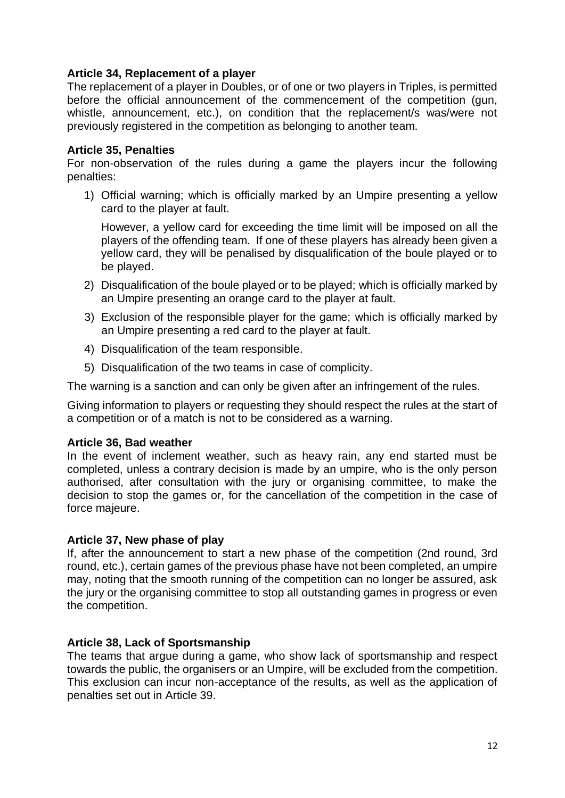## **Article 34, Replacement of a player**

The replacement of a player in Doubles, or of one or two players in Triples, is permitted before the official announcement of the commencement of the competition (gun, whistle, announcement, etc.), on condition that the replacement/s was/were not previously registered in the competition as belonging to another team.

#### **Article 35, Penalties**

For non-observation of the rules during a game the players incur the following penalties:

1) Official warning; which is officially marked by an Umpire presenting a yellow card to the player at fault.

However, a yellow card for exceeding the time limit will be imposed on all the players of the offending team. If one of these players has already been given a yellow card, they will be penalised by disqualification of the boule played or to be played.

- 2) Disqualification of the boule played or to be played; which is officially marked by an Umpire presenting an orange card to the player at fault.
- 3) Exclusion of the responsible player for the game; which is officially marked by an Umpire presenting a red card to the player at fault.
- 4) Disqualification of the team responsible.
- 5) Disqualification of the two teams in case of complicity.

The warning is a sanction and can only be given after an infringement of the rules.

Giving information to players or requesting they should respect the rules at the start of a competition or of a match is not to be considered as a warning.

### **Article 36, Bad weather**

In the event of inclement weather, such as heavy rain, any end started must be completed, unless a contrary decision is made by an umpire, who is the only person authorised, after consultation with the jury or organising committee, to make the decision to stop the games or, for the cancellation of the competition in the case of force majeure.

### **Article 37, New phase of play**

If, after the announcement to start a new phase of the competition (2nd round, 3rd round, etc.), certain games of the previous phase have not been completed, an umpire may, noting that the smooth running of the competition can no longer be assured, ask the jury or the organising committee to stop all outstanding games in progress or even the competition.

### **Article 38, Lack of Sportsmanship**

The teams that argue during a game, who show lack of sportsmanship and respect towards the public, the organisers or an Umpire, will be excluded from the competition. This exclusion can incur non-acceptance of the results, as well as the application of penalties set out in Article 39.